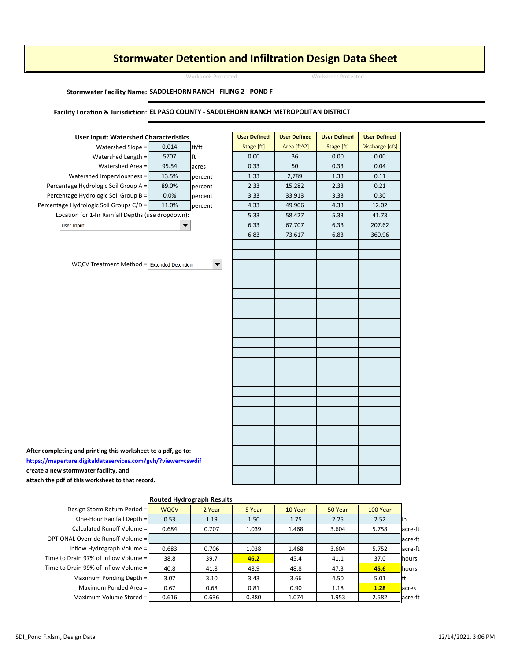## Stormwater Detention and Infiltration Design Data Sheet

Workbook Protected Worksheet Protected

#### Stormwater Facility Name: SADDLEHORN RANCH - FILING 2 - POND F

### Facility Location & Jurisdiction: EL PASO COUNTY - SADDLEHORN RANCH METROPOLITAN DISTRICT



WQCV Treatment Method  $=$  Extended Detention

| $ed Slope =$               | 0.014                         | ft/ft                | Stage [ft] | Area [ft^2] | Stage [ft] | Discharge [cfs] |
|----------------------------|-------------------------------|----------------------|------------|-------------|------------|-----------------|
| Length =                   | 5707                          | ft                   | 0.00       | 36          | 0.00       | 0.00            |
| ed Area =                  | 95.54                         | acres                | 0.33       | 50          | 0.33       | 0.04            |
| ousness =                  | 13.5%                         | percent              | 1.33       | 2,789       | 1.33       | 0.11            |
| $Group A =$                | 89.0%                         | percent              | 2.33       | 15,282      | 2.33       | 0.21            |
| $Group B =$                | 0.0%                          | percent              | 3.33       | 33,913      | 3.33       | 0.30            |
| $ups C/D =$                | 11.0%                         | percent              | 4.33       | 49,906      | 4.33       | 12.02           |
| Depths (use dropdown):     |                               |                      | 5.33       | 58,427      | 5.33       | 41.73           |
|                            |                               |                      | 6.33       | 67,707      | 6.33       | 207.62          |
|                            |                               |                      | 6.83       | 73,617      | 6.83       | 360.96          |
|                            |                               |                      |            |             |            |                 |
|                            |                               |                      |            |             |            |                 |
|                            | $Method = Extended Detection$ | $\blacktriangledown$ |            |             |            |                 |
|                            |                               |                      |            |             |            |                 |
|                            |                               |                      |            |             |            |                 |
|                            |                               |                      |            |             |            |                 |
|                            |                               |                      |            |             |            |                 |
|                            |                               |                      |            |             |            |                 |
|                            |                               |                      |            |             |            |                 |
|                            |                               |                      |            |             |            |                 |
|                            |                               |                      |            |             |            |                 |
|                            |                               |                      |            |             |            |                 |
|                            |                               |                      |            |             |            |                 |
|                            |                               |                      |            |             |            |                 |
|                            |                               |                      |            |             |            |                 |
|                            |                               |                      |            |             |            |                 |
|                            |                               |                      |            |             |            |                 |
|                            |                               |                      |            |             |            |                 |
|                            |                               |                      |            |             |            |                 |
|                            |                               |                      |            |             |            |                 |
|                            |                               |                      |            |             |            |                 |
| worksheet to a pdf, go to: |                               |                      |            |             |            |                 |
|                            | ces.com/gvh/?viewer=cswdif    |                      |            |             |            |                 |
| nd                         |                               |                      |            |             |            |                 |
| that record.               |                               |                      |            |             |            |                 |

After completing and printing this worksheet to a pdf, go to: https://maperture.digitaldataservices.com/gvh/?viewer=cswdif create a new stormwater facility, and attach the pdf of this worksheet to that record.

| <b>Routed Hydrograph Results</b>       |             |        |        |         |         |          |                |  |  |  |
|----------------------------------------|-------------|--------|--------|---------|---------|----------|----------------|--|--|--|
| Design Storm Return Period =           | <b>WOCV</b> | 2 Year | 5 Year | 10 Year | 50 Year | 100 Year |                |  |  |  |
| One-Hour Rainfall Depth =              | 0.53        | 1.19   | 1.50   | 1.75    | 2.25    | 2.52     | lin            |  |  |  |
| Calculated Runoff Volume =             | 0.684       | 0.707  | 1.039  | 1.468   | 3.604   | 5.758    | acre-ft        |  |  |  |
| OPTIONAL Override Runoff Volume =      |             |        |        |         |         |          | lacre-ft       |  |  |  |
| Inflow Hydrograph Volume =             | 0.683       | 0.706  | 1.038  | 1.468   | 3.604   | 5.752    | acre-ft        |  |  |  |
| Time to Drain 97% of Inflow Volume =ll | 38.8        | 39.7   | 46.2   | 45.4    | 41.1    | 37.0     | <b>Ilhours</b> |  |  |  |
| Time to Drain 99% of Inflow Volume =   | 40.8        | 41.8   | 48.9   | 48.8    | 47.3    | 45.6     | <b>I</b> hours |  |  |  |
| Maximum Ponding Depth =                | 3.07        | 3.10   | 3.43   | 3.66    | 4.50    | 5.01     | llft           |  |  |  |
| Maximum Ponded Area =                  | 0.67        | 0.68   | 0.81   | 0.90    | 1.18    | 1.28     | lacres         |  |  |  |
| Maximum Volume Stored = II             | 0.616       | 0.636  | 0.880  | 1.074   | 1.953   | 2.582    | acre-ft        |  |  |  |